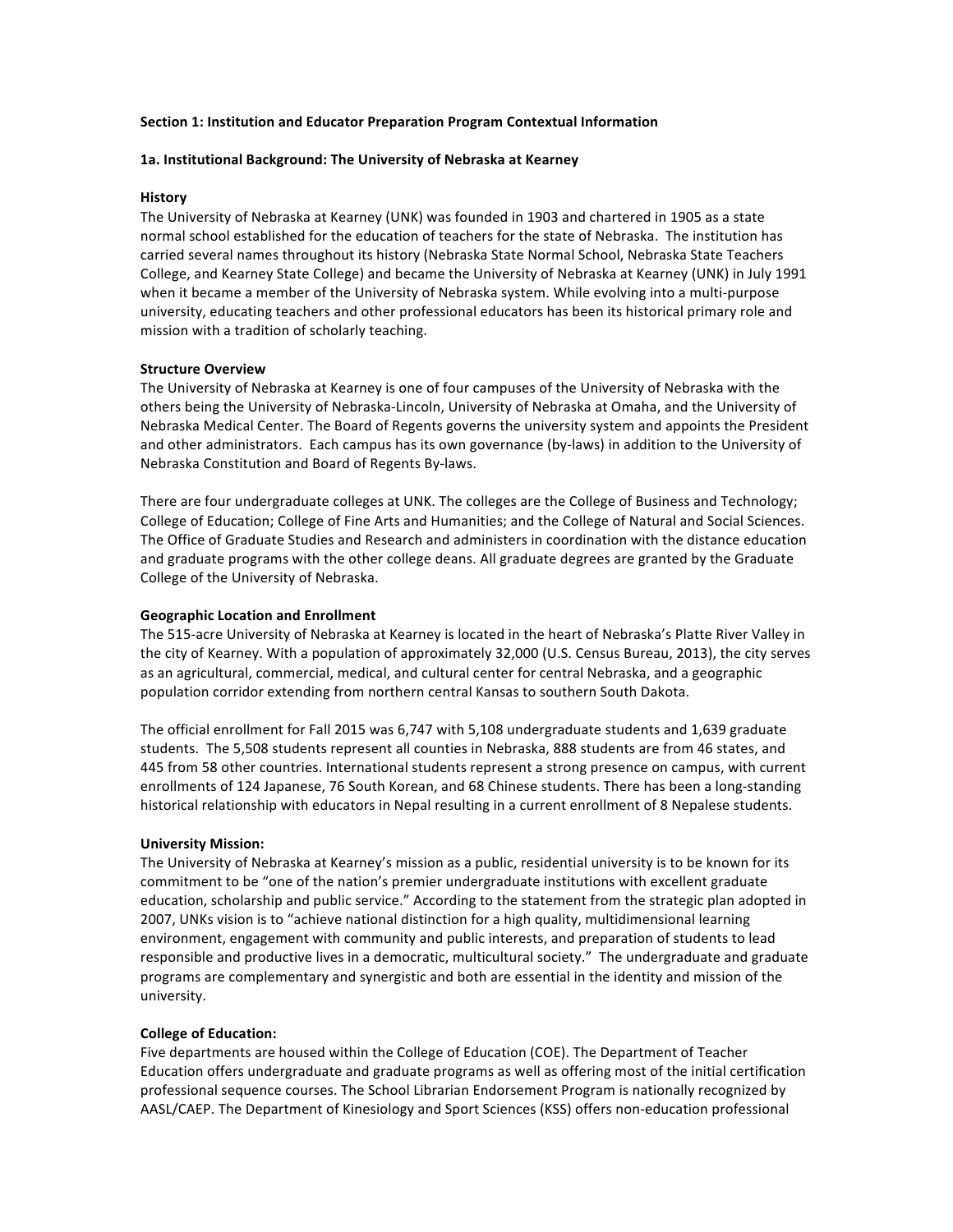## **Section 1: Institution and Educator Preparation Program Contextual Information**

# 1a. Institutional Background: The University of Nebraska at Kearney

# **History**

The University of Nebraska at Kearney (UNK) was founded in 1903 and chartered in 1905 as a state normal school established for the education of teachers for the state of Nebraska. The institution has carried several names throughout its history (Nebraska State Normal School, Nebraska State Teachers College, and Kearney State College) and became the University of Nebraska at Kearney (UNK) in July 1991 when it became a member of the University of Nebraska system. While evolving into a multi-purpose university, educating teachers and other professional educators has been its historical primary role and mission with a tradition of scholarly teaching.

## **Structure Overview**

The University of Nebraska at Kearney is one of four campuses of the University of Nebraska with the others being the University of Nebraska-Lincoln, University of Nebraska at Omaha, and the University of Nebraska Medical Center. The Board of Regents governs the university system and appoints the President and other administrators. Each campus has its own governance (by-laws) in addition to the University of Nebraska Constitution and Board of Regents By-laws.

There are four undergraduate colleges at UNK. The colleges are the College of Business and Technology; College of Education; College of Fine Arts and Humanities; and the College of Natural and Social Sciences. The Office of Graduate Studies and Research and administers in coordination with the distance education and graduate programs with the other college deans. All graduate degrees are granted by the Graduate College of the University of Nebraska.

# **Geographic Location and Enrollment**

The 515-acre University of Nebraska at Kearney is located in the heart of Nebraska's Platte River Valley in the city of Kearney. With a population of approximately 32,000 (U.S. Census Bureau, 2013), the city serves as an agricultural, commercial, medical, and cultural center for central Nebraska, and a geographic population corridor extending from northern central Kansas to southern South Dakota.

The official enrollment for Fall 2015 was 6,747 with 5,108 undergraduate students and 1,639 graduate students. The 5,508 students represent all counties in Nebraska, 888 students are from 46 states, and 445 from 58 other countries. International students represent a strong presence on campus, with current enrollments of 124 Japanese, 76 South Korean, and 68 Chinese students. There has been a long-standing historical relationship with educators in Nepal resulting in a current enrollment of 8 Nepalese students.

## **University Mission:**

The University of Nebraska at Kearney's mission as a public, residential university is to be known for its commitment to be "one of the nation's premier undergraduate institutions with excellent graduate education, scholarship and public service." According to the statement from the strategic plan adopted in 2007, UNKs vision is to "achieve national distinction for a high quality, multidimensional learning environment, engagement with community and public interests, and preparation of students to lead responsible and productive lives in a democratic, multicultural society." The undergraduate and graduate programs are complementary and synergistic and both are essential in the identity and mission of the university.

## **College of Education:**

Five departments are housed within the College of Education (COE). The Department of Teacher Education offers undergraduate and graduate programs as well as offering most of the initial certification professional sequence courses. The School Librarian Endorsement Program is nationally recognized by AASL/CAEP. The Department of Kinesiology and Sport Sciences (KSS) offers non-education professional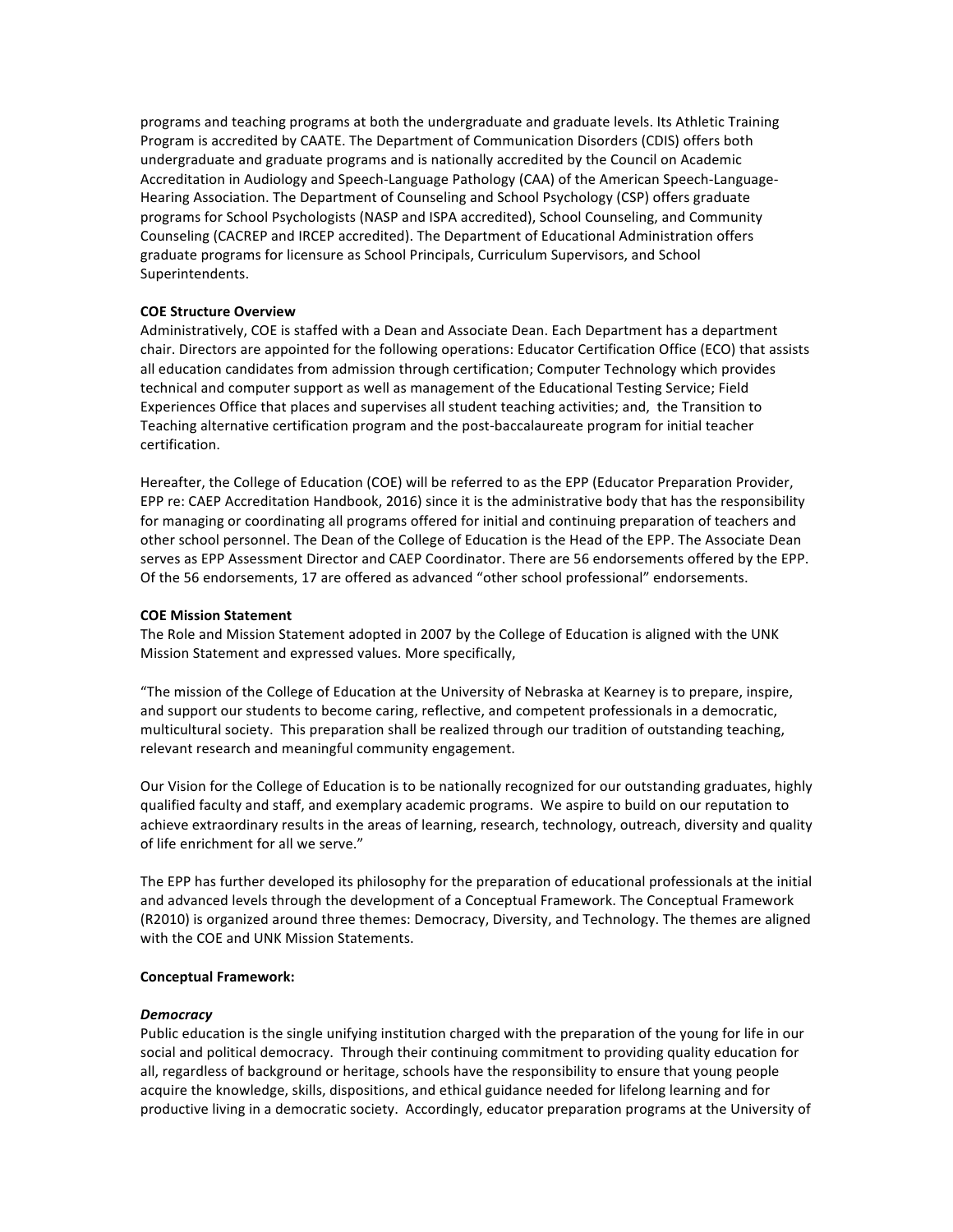programs and teaching programs at both the undergraduate and graduate levels. Its Athletic Training Program is accredited by CAATE. The Department of Communication Disorders (CDIS) offers both undergraduate and graduate programs and is nationally accredited by the Council on Academic Accreditation in Audiology and Speech-Language Pathology (CAA) of the American Speech-Language-Hearing Association. The Department of Counseling and School Psychology (CSP) offers graduate programs for School Psychologists (NASP and ISPA accredited), School Counseling, and Community Counseling (CACREP and IRCEP accredited). The Department of Educational Administration offers graduate programs for licensure as School Principals, Curriculum Supervisors, and School Superintendents. 

# **COE Structure Overview**

Administratively, COE is staffed with a Dean and Associate Dean. Each Department has a department chair. Directors are appointed for the following operations: Educator Certification Office (ECO) that assists all education candidates from admission through certification; Computer Technology which provides technical and computer support as well as management of the Educational Testing Service; Field Experiences Office that places and supervises all student teaching activities; and, the Transition to Teaching alternative certification program and the post-baccalaureate program for initial teacher certification. 

Hereafter, the College of Education (COE) will be referred to as the EPP (Educator Preparation Provider, EPP re: CAEP Accreditation Handbook, 2016) since it is the administrative body that has the responsibility for managing or coordinating all programs offered for initial and continuing preparation of teachers and other school personnel. The Dean of the College of Education is the Head of the EPP. The Associate Dean serves as EPP Assessment Director and CAEP Coordinator. There are 56 endorsements offered by the EPP. Of the 56 endorsements, 17 are offered as advanced "other school professional" endorsements.

#### **COE Mission Statement**

The Role and Mission Statement adopted in 2007 by the College of Education is aligned with the UNK Mission Statement and expressed values. More specifically,

"The mission of the College of Education at the University of Nebraska at Kearney is to prepare, inspire, and support our students to become caring, reflective, and competent professionals in a democratic, multicultural society. This preparation shall be realized through our tradition of outstanding teaching, relevant research and meaningful community engagement.

Our Vision for the College of Education is to be nationally recognized for our outstanding graduates, highly qualified faculty and staff, and exemplary academic programs. We aspire to build on our reputation to achieve extraordinary results in the areas of learning, research, technology, outreach, diversity and quality of life enrichment for all we serve."

The EPP has further developed its philosophy for the preparation of educational professionals at the initial and advanced levels through the development of a Conceptual Framework. The Conceptual Framework (R2010) is organized around three themes: Democracy, Diversity, and Technology. The themes are aligned with the COE and UNK Mission Statements.

#### **Conceptual Framework:**

#### *Democracy*

Public education is the single unifying institution charged with the preparation of the young for life in our social and political democracy. Through their continuing commitment to providing quality education for all, regardless of background or heritage, schools have the responsibility to ensure that young people acquire the knowledge, skills, dispositions, and ethical guidance needed for lifelong learning and for productive living in a democratic society. Accordingly, educator preparation programs at the University of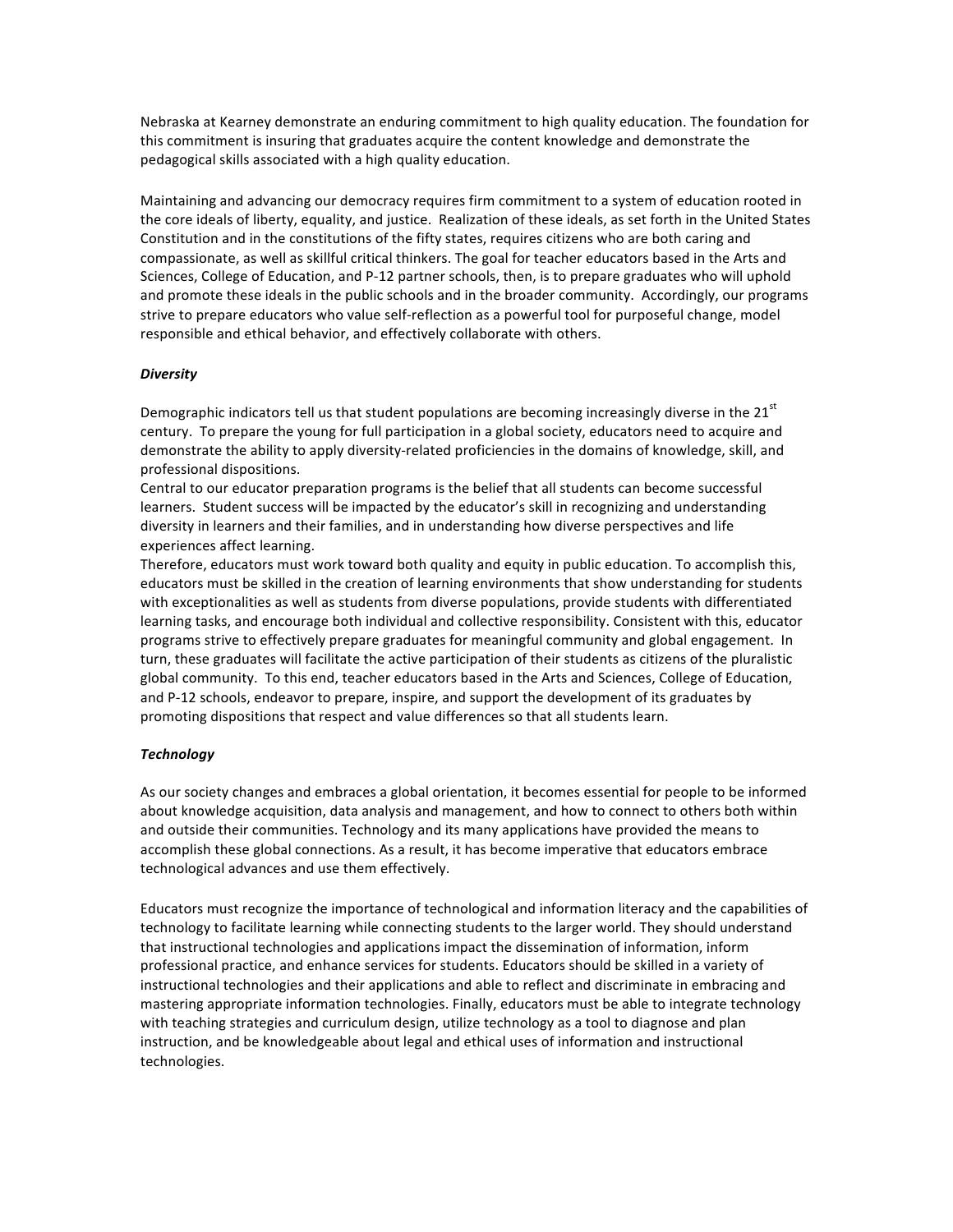Nebraska at Kearney demonstrate an enduring commitment to high quality education. The foundation for this commitment is insuring that graduates acquire the content knowledge and demonstrate the pedagogical skills associated with a high quality education.

Maintaining and advancing our democracy requires firm commitment to a system of education rooted in the core ideals of liberty, equality, and justice. Realization of these ideals, as set forth in the United States Constitution and in the constitutions of the fifty states, requires citizens who are both caring and compassionate, as well as skillful critical thinkers. The goal for teacher educators based in the Arts and Sciences, College of Education, and P-12 partner schools, then, is to prepare graduates who will uphold and promote these ideals in the public schools and in the broader community. Accordingly, our programs strive to prepare educators who value self-reflection as a powerful tool for purposeful change, model responsible and ethical behavior, and effectively collaborate with others.

# *Diversity*

Demographic indicators tell us that student populations are becoming increasingly diverse in the  $21<sup>st</sup>$ century. To prepare the young for full participation in a global society, educators need to acquire and demonstrate the ability to apply diversity-related proficiencies in the domains of knowledge, skill, and professional dispositions.

Central to our educator preparation programs is the belief that all students can become successful learners. Student success will be impacted by the educator's skill in recognizing and understanding diversity in learners and their families, and in understanding how diverse perspectives and life experiences affect learning.

Therefore, educators must work toward both quality and equity in public education. To accomplish this, educators must be skilled in the creation of learning environments that show understanding for students with exceptionalities as well as students from diverse populations, provide students with differentiated learning tasks, and encourage both individual and collective responsibility. Consistent with this, educator programs strive to effectively prepare graduates for meaningful community and global engagement. In turn, these graduates will facilitate the active participation of their students as citizens of the pluralistic global community. To this end, teacher educators based in the Arts and Sciences, College of Education, and P-12 schools, endeavor to prepare, inspire, and support the development of its graduates by promoting dispositions that respect and value differences so that all students learn.

## *Technology*

As our society changes and embraces a global orientation, it becomes essential for people to be informed about knowledge acquisition, data analysis and management, and how to connect to others both within and outside their communities. Technology and its many applications have provided the means to accomplish these global connections. As a result, it has become imperative that educators embrace technological advances and use them effectively.

Educators must recognize the importance of technological and information literacy and the capabilities of technology to facilitate learning while connecting students to the larger world. They should understand that instructional technologies and applications impact the dissemination of information, inform professional practice, and enhance services for students. Educators should be skilled in a variety of instructional technologies and their applications and able to reflect and discriminate in embracing and mastering appropriate information technologies. Finally, educators must be able to integrate technology with teaching strategies and curriculum design, utilize technology as a tool to diagnose and plan instruction, and be knowledgeable about legal and ethical uses of information and instructional technologies.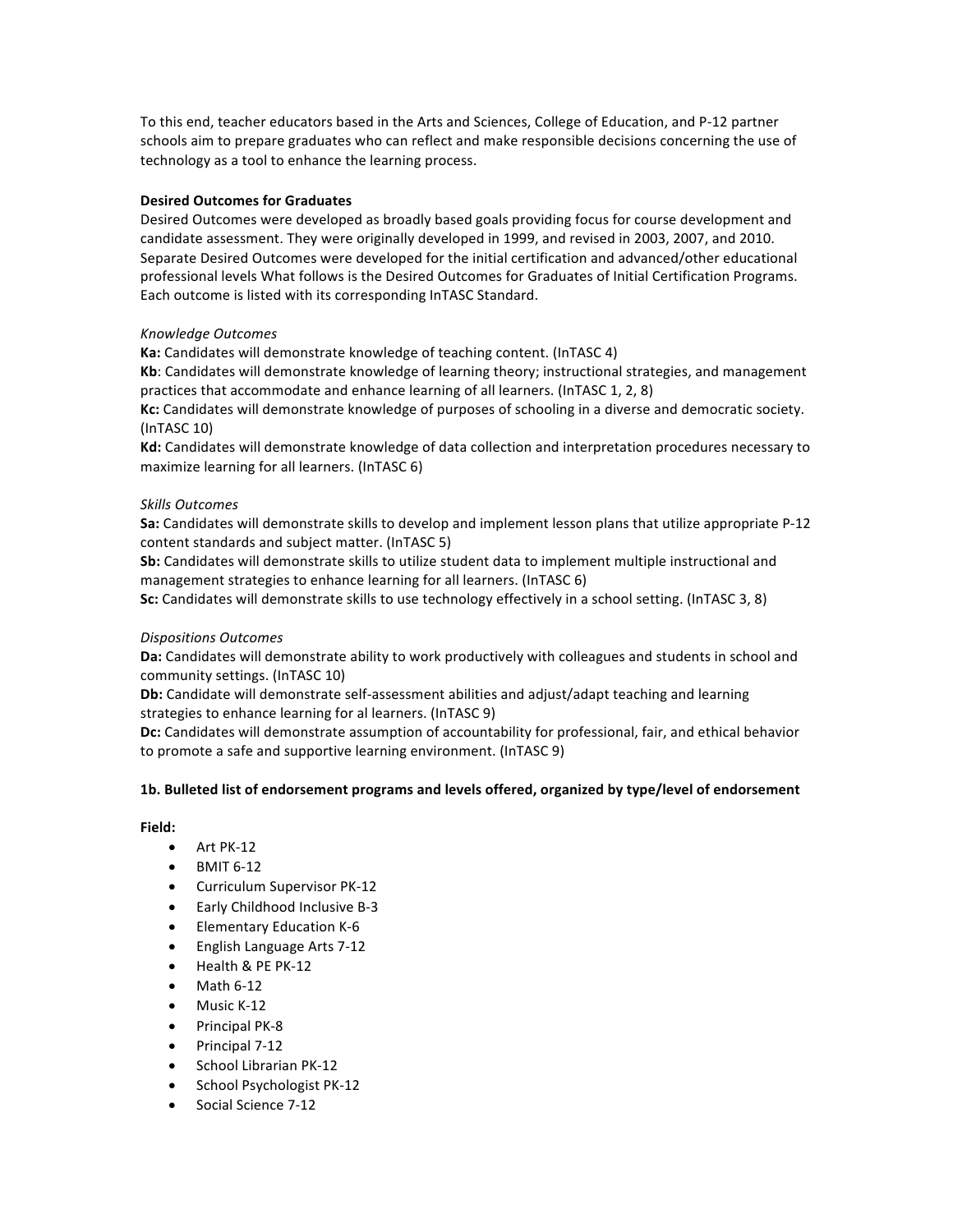To this end, teacher educators based in the Arts and Sciences, College of Education, and P-12 partner schools aim to prepare graduates who can reflect and make responsible decisions concerning the use of technology as a tool to enhance the learning process.

# **Desired Outcomes for Graduates**

Desired Outcomes were developed as broadly based goals providing focus for course development and candidate assessment. They were originally developed in 1999, and revised in 2003, 2007, and 2010. Separate Desired Outcomes were developed for the initial certification and advanced/other educational professional levels What follows is the Desired Outcomes for Graduates of Initial Certification Programs. Each outcome is listed with its corresponding InTASC Standard.

# *Knowledge Outcomes*

**Ka:** Candidates will demonstrate knowledge of teaching content. (InTASC 4)

**Kb**: Candidates will demonstrate knowledge of learning theory; instructional strategies, and management practices that accommodate and enhance learning of all learners. (InTASC 1, 2, 8)

**Kc:** Candidates will demonstrate knowledge of purposes of schooling in a diverse and democratic society.  $(InTASC 10)$ 

Kd: Candidates will demonstrate knowledge of data collection and interpretation procedures necessary to maximize learning for all learners. (InTASC 6)

# *Skills Outcomes*

**Sa:** Candidates will demonstrate skills to develop and implement lesson plans that utilize appropriate P-12 content standards and subject matter. (InTASC 5)

**Sb:** Candidates will demonstrate skills to utilize student data to implement multiple instructional and management strategies to enhance learning for all learners. (InTASC 6)

**Sc:** Candidates will demonstrate skills to use technology effectively in a school setting. (InTASC 3, 8)

## *Dispositions Outcomes*

Da: Candidates will demonstrate ability to work productively with colleagues and students in school and community settings. (InTASC 10)

**Db:** Candidate will demonstrate self-assessment abilities and adjust/adapt teaching and learning strategies to enhance learning for al learners. (InTASC 9)

Dc: Candidates will demonstrate assumption of accountability for professional, fair, and ethical behavior to promote a safe and supportive learning environment. (InTASC 9)

## 1b. Bulleted list of endorsement programs and levels offered, organized by type/level of endorsement

# **Field:**

- $\bullet$  Art PK-12
- **BMIT 6-12**
- Curriculum Supervisor PK-12
- Early Childhood Inclusive B-3
- Elementary Education K-6
- English Language Arts 7-12
- Health & PE PK-12
- $\bullet$  Math 6-12
- Music K-12
- Principal PK-8
- Principal 7-12
- School Librarian PK-12
- School Psychologist PK-12
- Social Science 7-12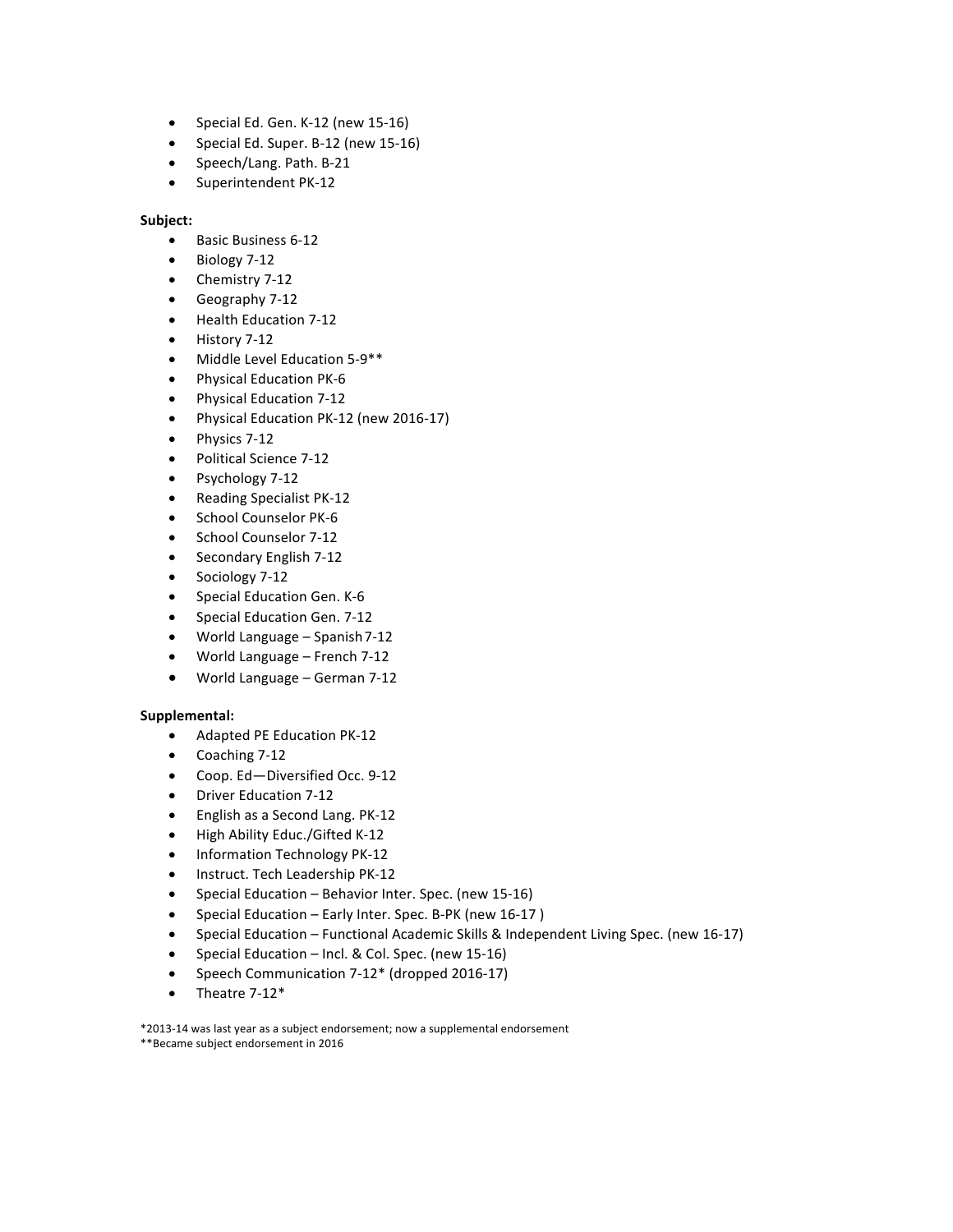- Special Ed. Gen. K-12 (new 15-16)
- Special Ed. Super. B-12 (new 15-16)
- Speech/Lang. Path. B-21
- Superintendent PK-12

# **Subject:**

- Basic Business 6-12
- Biology 7-12
- Chemistry 7-12
- Geography 7-12
- Health Education 7-12
- History 7-12
- Middle Level Education 5-9\*\*
- Physical Education PK-6
- Physical Education 7-12
- Physical Education PK-12 (new 2016-17)
- Physics 7-12
- Political Science 7-12
- Psychology 7-12
- Reading Specialist PK-12
- School Counselor PK-6
- School Counselor 7-12
- Secondary English 7-12
- Sociology 7-12
- Special Education Gen. K-6
- Special Education Gen. 7-12
- World Language  $-$  Spanish 7-12
- World Language French 7-12
- World Language German 7-12

# **Supplemental:**

- Adapted PE Education PK-12
- $\bullet$  Coaching 7-12
- Coop. Ed-Diversified Occ. 9-12
- Driver Education 7-12
- English as a Second Lang. PK-12
- High Ability Educ./Gifted K-12
- Information Technology PK-12
- Instruct. Tech Leadership PK-12
- Special Education Behavior Inter. Spec. (new 15-16)
- Special Education Early Inter. Spec. B-PK (new 16-17)
- Special Education Functional Academic Skills & Independent Living Spec. (new 16-17)
- Special Education Incl. & Col. Spec. (new 15-16)
- Speech Communication 7-12\* (dropped 2016-17)
- $\bullet$  Theatre 7-12\*

\*2013-14 was last year as a subject endorsement; now a supplemental endorsement \*\*Became subject endorsement in 2016